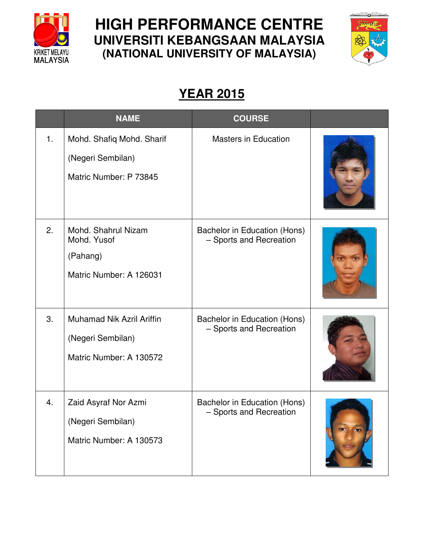

## **HIGH PERFORMANCE CENTRE UNIVERSITI KEBANGSAAN MALAYSIA (NATIONAL UNIVERSITY OF MALAYSIA)**



## **YEAR 2015**

|    | <b>NAME</b>                                                               | <b>COURSE</b>                                           |  |
|----|---------------------------------------------------------------------------|---------------------------------------------------------|--|
| 1. | Mohd. Shafiq Mohd. Sharif<br>(Negeri Sembilan)<br>Matric Number: P 73845  | <b>Masters in Education</b>                             |  |
| 2. | Mohd. Shahrul Nizam<br>Mohd. Yusof<br>(Pahang)<br>Matric Number: A 126031 | Bachelor in Education (Hons)<br>- Sports and Recreation |  |
| 3. | Muhamad Nik Azril Ariffin<br>(Negeri Sembilan)<br>Matric Number: A 130572 | Bachelor in Education (Hons)<br>- Sports and Recreation |  |
| 4. | Zaid Asyraf Nor Azmi<br>(Negeri Sembilan)<br>Matric Number: A 130573      | Bachelor in Education (Hons)<br>- Sports and Recreation |  |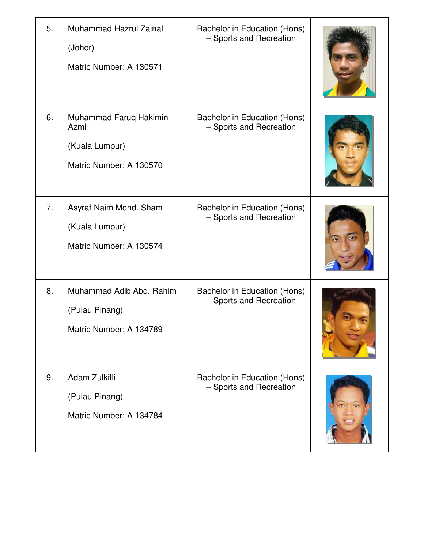| 5. | <b>Muhammad Hazrul Zainal</b><br>(Johor)<br>Matric Number: A 130571         | Bachelor in Education (Hons)<br>- Sports and Recreation |  |
|----|-----------------------------------------------------------------------------|---------------------------------------------------------|--|
| 6. | Muhammad Faruq Hakimin<br>Azmi<br>(Kuala Lumpur)<br>Matric Number: A 130570 | Bachelor in Education (Hons)<br>- Sports and Recreation |  |
| 7. | Asyraf Naim Mohd. Sham<br>(Kuala Lumpur)<br>Matric Number: A 130574         | Bachelor in Education (Hons)<br>- Sports and Recreation |  |
| 8. | Muhammad Adib Abd. Rahim<br>(Pulau Pinang)<br>Matric Number: A 134789       | Bachelor in Education (Hons)<br>- Sports and Recreation |  |
| 9. | Adam Zulkifli<br>(Pulau Pinang)<br>Matric Number: A 134784                  | Bachelor in Education (Hons)<br>- Sports and Recreation |  |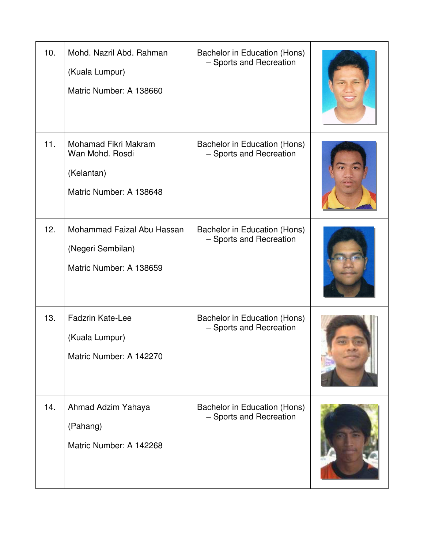| 10. | Mohd, Nazril Abd, Rahman<br>(Kuala Lumpur)<br>Matric Number: A 138660            | Bachelor in Education (Hons)<br>- Sports and Recreation |  |
|-----|----------------------------------------------------------------------------------|---------------------------------------------------------|--|
| 11. | Mohamad Fikri Makram<br>Wan Mohd. Rosdi<br>(Kelantan)<br>Matric Number: A 138648 | Bachelor in Education (Hons)<br>- Sports and Recreation |  |
| 12. | Mohammad Faizal Abu Hassan<br>(Negeri Sembilan)<br>Matric Number: A 138659       | Bachelor in Education (Hons)<br>- Sports and Recreation |  |
| 13. | <b>Fadzrin Kate-Lee</b><br>(Kuala Lumpur)<br>Matric Number: A 142270             | Bachelor in Education (Hons)<br>- Sports and Recreation |  |
| 14. | Ahmad Adzim Yahaya<br>(Pahang)<br>Matric Number: A 142268                        | Bachelor in Education (Hons)<br>- Sports and Recreation |  |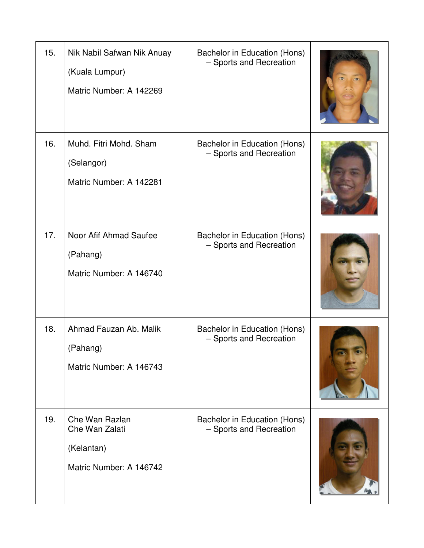| 15. | Nik Nabil Safwan Nik Anuay<br>(Kuala Lumpur)<br>Matric Number: A 142269   | Bachelor in Education (Hons)<br>- Sports and Recreation |  |
|-----|---------------------------------------------------------------------------|---------------------------------------------------------|--|
| 16. | Muhd. Fitri Mohd. Sham<br>(Selangor)<br>Matric Number: A 142281           | Bachelor in Education (Hons)<br>- Sports and Recreation |  |
| 17. | Noor Afif Ahmad Saufee<br>(Pahang)<br>Matric Number: A 146740             | Bachelor in Education (Hons)<br>- Sports and Recreation |  |
| 18. | Ahmad Fauzan Ab. Malik<br>(Pahang)<br>Matric Number: A 146743             | Bachelor in Education (Hons)<br>- Sports and Recreation |  |
| 19. | Che Wan Razlan<br>Che Wan Zalati<br>(Kelantan)<br>Matric Number: A 146742 | Bachelor in Education (Hons)<br>- Sports and Recreation |  |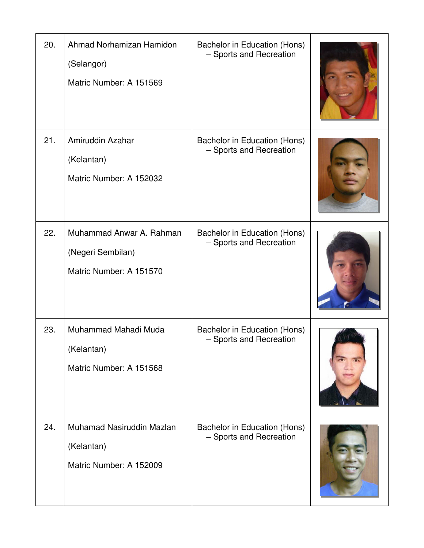| 20. | Ahmad Norhamizan Hamidon<br>(Selangor)<br>Matric Number: A 151569        | Bachelor in Education (Hons)<br>- Sports and Recreation |  |
|-----|--------------------------------------------------------------------------|---------------------------------------------------------|--|
| 21. | Amiruddin Azahar<br>(Kelantan)<br>Matric Number: A 152032                | Bachelor in Education (Hons)<br>- Sports and Recreation |  |
| 22. | Muhammad Anwar A. Rahman<br>(Negeri Sembilan)<br>Matric Number: A 151570 | Bachelor in Education (Hons)<br>- Sports and Recreation |  |
| 23. | Muhammad Mahadi Muda<br>(Kelantan)<br>Matric Number: A 151568            | Bachelor in Education (Hons)<br>- Sports and Recreation |  |
| 24. | Muhamad Nasiruddin Mazlan<br>(Kelantan)<br>Matric Number: A 152009       | Bachelor in Education (Hons)<br>- Sports and Recreation |  |